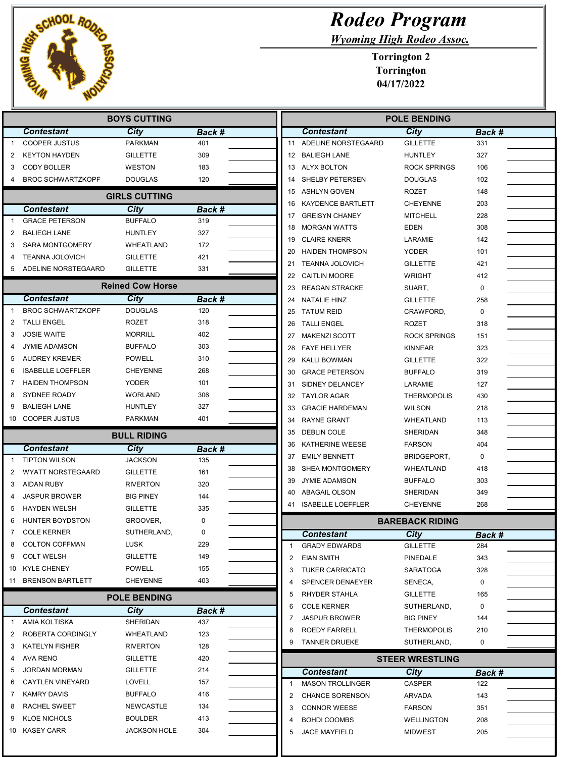

|              |  |  | <b>Rodeo Program</b> |  |
|--------------|--|--|----------------------|--|
| $\mathbf{r}$ |  |  |                      |  |

Wyoming High Rodeo Assoc.

Torrington 2 Torrington 04/17/2022

| <b>BOYS CUTTING</b> |                                            |                                    |               |              | <b>POLE BENDING</b>      |                        |             |  |
|---------------------|--------------------------------------------|------------------------------------|---------------|--------------|--------------------------|------------------------|-------------|--|
|                     | <b>Contestant</b>                          | City                               | Back #        |              | <b>Contestant</b>        | <b>City</b>            | Back #      |  |
| 1                   | <b>COOPER JUSTUS</b>                       | PARKMAN                            | 401           | 11           | ADELINE NORSTEGAARD      | <b>GILLETTE</b>        | 331         |  |
| 2                   | <b>KEYTON HAYDEN</b>                       | <b>GILLETTE</b>                    | 309           |              | 12 BALIEGH LANE          | <b>HUNTLEY</b>         | 327         |  |
| 3                   | <b>CODY BOLLER</b>                         | <b>WESTON</b>                      | 183           |              | 13 ALYX BOLTON           | <b>ROCK SPRINGS</b>    | 106         |  |
| 4                   | <b>BROC SCHWARTZKOPF</b>                   | <b>DOUGLAS</b>                     | 120           | 14           | SHELBY PETERSEN          | <b>DOUGLAS</b>         | 102         |  |
|                     |                                            | <b>GIRLS CUTTING</b>               |               | 15           | <b>ASHLYN GOVEN</b>      | <b>ROZET</b>           | 148         |  |
|                     |                                            |                                    |               | 16           | <b>KAYDENCE BARTLETT</b> | <b>CHEYENNE</b>        | 203         |  |
| 1                   | <b>Contestant</b><br><b>GRACE PETERSON</b> | City<br><b>BUFFALO</b>             | Back #<br>319 | 17           | <b>GREISYN CHANEY</b>    | <b>MITCHELL</b>        | 228         |  |
|                     | <b>BALIEGH LANE</b>                        | <b>HUNTLEY</b>                     | 327           | 18           | <b>MORGAN WATTS</b>      | <b>EDEN</b>            | 308         |  |
| 2<br>3              | <b>SARA MONTGOMERY</b>                     | WHEATLAND                          | 172           | 19           | <b>CLAIRE KNERR</b>      | LARAMIE                | 142         |  |
|                     |                                            |                                    | 421           | 20           | <b>HAIDEN THOMPSON</b>   | <b>YODER</b>           | 101         |  |
| 4                   | <b>TEANNA JOLOVICH</b>                     | <b>GILLETTE</b><br><b>GILLETTE</b> | 331           | 21           | <b>TEANNA JOLOVICH</b>   | <b>GILLETTE</b>        | 421         |  |
| 5                   | ADELINE NORSTEGAARD                        |                                    |               | 22           | <b>CAITLIN MOORE</b>     | <b>WRIGHT</b>          | 412         |  |
|                     |                                            | <b>Reined Cow Horse</b>            |               | 23           | <b>REAGAN STRACKE</b>    | SUART,                 | 0           |  |
|                     | <b>Contestant</b>                          | City                               | Back #        | 24           | <b>NATALIE HINZ</b>      | <b>GILLETTE</b>        | 258         |  |
| $\mathbf{1}$        | <b>BROC SCHWARTZKOPF</b>                   | <b>DOUGLAS</b>                     | 120           | 25           | <b>TATUM REID</b>        | CRAWFORD,              | $\mathbf 0$ |  |
| 2                   | <b>TALLI ENGEL</b>                         | ROZET                              | 318           | 26           | <b>TALLI ENGEL</b>       | ROZET                  | 318         |  |
| 3                   | <b>JOSIE WAITE</b>                         | <b>MORRILL</b>                     | 402           | 27           | <b>MAKENZI SCOTT</b>     | <b>ROCK SPRINGS</b>    | 151         |  |
| 4                   | JYMIE ADAMSON                              | <b>BUFFALO</b>                     | 303           | 28           | <b>FAYE HELLYER</b>      | <b>KINNEAR</b>         | 323         |  |
| 5                   | <b>AUDREY KREMER</b>                       | POWELL                             | 310           | 29           | <b>KALLI BOWMAN</b>      | <b>GILLETTE</b>        | 322         |  |
| 6                   | <b>ISABELLE LOEFFLER</b>                   | <b>CHEYENNE</b>                    | 268           | 30           | <b>GRACE PETERSON</b>    | <b>BUFFALO</b>         | 319         |  |
| 7                   | <b>HAIDEN THOMPSON</b>                     | YODER                              | 101           | 31           | SIDNEY DELANCEY          | LARAMIE                | 127         |  |
| 8                   | SYDNEE ROADY                               | <b>WORLAND</b>                     | 306           | 32           | <b>TAYLOR AGAR</b>       | <b>THERMOPOLIS</b>     | 430         |  |
| 9                   | <b>BALIEGH LANE</b>                        | HUNTLEY                            | 327           | 33           | <b>GRACIE HARDEMAN</b>   | <b>WILSON</b>          | 218         |  |
| 10                  | <b>COOPER JUSTUS</b>                       | PARKMAN                            | 401           | 34           | <b>RAYNE GRANT</b>       | WHEATLAND              | 113         |  |
|                     |                                            | <b>BULL RIDING</b>                 |               | 35           | <b>DEBLIN COLE</b>       | SHERIDAN               | 348         |  |
|                     | <b>Contestant</b>                          | City                               | Back #        | 36           | KATHERINE WEESE          | <b>FARSON</b>          | 404         |  |
| 1                   | <b>TIPTON WILSON</b>                       | <b>JACKSON</b>                     | 135           | 37           | <b>EMILY BENNETT</b>     | BRIDGEPORT,            | 0           |  |
| 2                   | WYATT NORSTEGAARD                          | <b>GILLETTE</b>                    | 161           | 38           | <b>SHEA MONTGOMERY</b>   | WHEATLAND              | 418         |  |
| 3                   | AIDAN RUBY                                 | <b>RIVERTON</b>                    | 320           | 39           | <b>JYMIE ADAMSON</b>     | <b>BUFFALO</b>         | 303         |  |
| 4                   | <b>JASPUR BROWER</b>                       | <b>BIG PINEY</b>                   | 144           | 40           | <b>ABAGAIL OLSON</b>     | <b>SHERIDAN</b>        | 349         |  |
| 5                   | <b>HAYDEN WELSH</b>                        | <b>GILLETTE</b>                    | 335           | 41           | <b>ISABELLE LOEFFLER</b> | <b>CHEYENNE</b>        | 268         |  |
| 6                   | HUNTER BOYDSTON                            | GROOVER,                           | 0             |              |                          | <b>BAREBACK RIDING</b> |             |  |
| 7                   | <b>COLE KERNER</b>                         | SUTHERLAND,                        | $\mathbf 0$   |              | <b>Contestant</b>        | City                   | Back #      |  |
| 8                   | <b>COLTON COFFMAN</b>                      | LUSK                               | 229           | $\mathbf{1}$ | <b>GRADY EDWARDS</b>     | <b>GILLETTE</b>        | 284         |  |
| 9                   | <b>COLT WELSH</b>                          | <b>GILLETTE</b>                    | 149           | 2            | <b>EIAN SMITH</b>        | PINEDALE               | 343         |  |
| 10                  | <b>KYLE CHENEY</b>                         | POWELL                             | 155           | 3            | <b>TUKER CARRICATO</b>   | <b>SARATOGA</b>        | 328         |  |
|                     | 11 BRENSON BARTLETT                        | CHEYENNE                           | 403           | 4            | SPENCER DENAEYER         | SENECA,                | 0           |  |
|                     |                                            | <b>POLE BENDING</b>                |               | 5            | RHYDER STAHLA            | <b>GILLETTE</b>        | 165         |  |
|                     |                                            |                                    |               | 6            | <b>COLE KERNER</b>       | SUTHERLAND,            | 0           |  |
| 1                   | <b>Contestant</b><br>AMIA KOLTISKA         | City<br>SHERIDAN                   | Back #<br>437 | 7            | <b>JASPUR BROWER</b>     | <b>BIG PINEY</b>       | 144         |  |
| 2                   | ROBERTA CORDINGLY                          | WHEATLAND                          | 123           | 8            | ROEDY FARRELL            | <b>THERMOPOLIS</b>     | 210         |  |
| 3                   | <b>KATELYN FISHER</b>                      | <b>RIVERTON</b>                    | 128           | 9            | <b>TANNER DRUEKE</b>     | SUTHERLAND,            | 0           |  |
| 4                   | AVA RENO                                   | <b>GILLETTE</b>                    | 420           |              |                          |                        |             |  |
| 5                   | <b>JORDAN MORMAN</b>                       | <b>GILLETTE</b>                    | 214           |              |                          | <b>STEER WRESTLING</b> |             |  |
| 6                   | <b>CAYTLEN VINEYARD</b>                    | LOVELL                             | 157           |              | <b>Contestant</b>        | City                   | Back #      |  |
| 7                   | <b>KAMRY DAVIS</b>                         | <b>BUFFALO</b>                     | 416           | $\mathbf{1}$ | <b>MASON TROLLINGER</b>  | CASPER                 | 122         |  |
| 8                   | RACHEL SWEET                               | NEWCASTLE                          | 134           | 2            | <b>CHANCE SORENSON</b>   | ARVADA                 | 143         |  |
| 9                   | <b>KLOE NICHOLS</b>                        | BOULDER                            | 413           | 3            | <b>CONNOR WEESE</b>      | <b>FARSON</b>          | 351         |  |
|                     | <b>KASEY CARR</b>                          | JACKSON HOLE                       | 304           | 4            | <b>BOHDI COOMBS</b>      | <b>WELLINGTON</b>      | 208         |  |
| 10                  |                                            |                                    |               | 5            | <b>JACE MAYFIELD</b>     | <b>MIDWEST</b>         | 205         |  |

Ш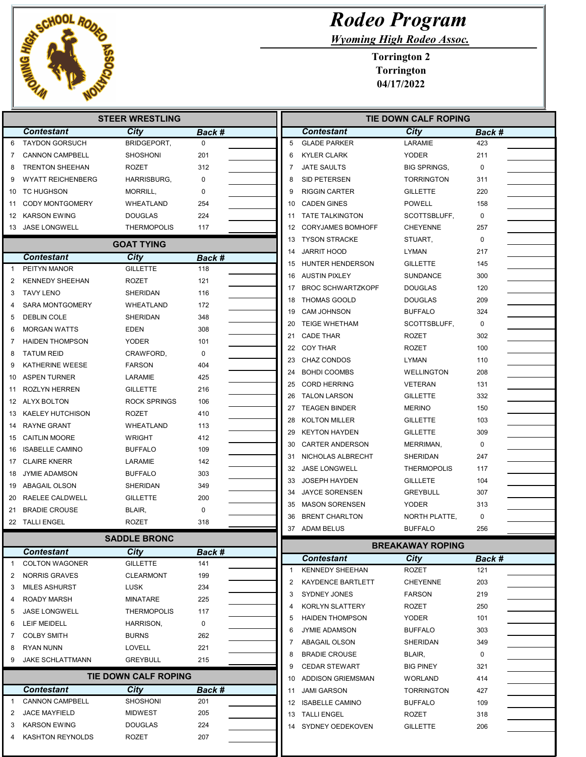

**Contestant City<br>
CANNON CAMPBELL SHOSHONI** 

2 JACE MAYFIELD MIDWEST 3 KARSON EWING DOUGLAS 4 KASHTON REYNOLDS ROZET

1 CANNON CAMPBELL

|                 |                          | <b>STEER WRESTLING</b>          |          |                | TIE                      |
|-----------------|--------------------------|---------------------------------|----------|----------------|--------------------------|
|                 | <b>Contestant</b>        | City                            | Back #   |                | <b>Contestant</b>        |
| 6               | <b>TAYDON GORSUCH</b>    | BRIDGEPORT,                     | $\Omega$ | 5              | <b>GLADE PARKER</b>      |
| 7               | <b>CANNON CAMPBELL</b>   | <b>SHOSHONI</b>                 | 201      | 6              | <b>KYLER CLARK</b>       |
| 8               | <b>TRENTON SHEEHAN</b>   | <b>ROZET</b>                    | 312      | $\overline{7}$ | <b>JATE SAULTS</b>       |
| 9               | <b>WYATT REICHENBERG</b> | <b>HARRISBURG,</b>              | 0        | 8              | SID PETERSEN             |
| 10              | TC HUGHSON               | MORRILL,                        | $\Omega$ | 9              | <b>RIGGIN CARTER</b>     |
| 11              | <b>CODY MONTGOMERY</b>   | WHEATLAND                       | 254      | 10             | <b>CADEN GINES</b>       |
| 12              | <b>KARSON EWING</b>      | <b>DOUGLAS</b>                  | 224      | 11             | <b>TATE TALKINGTON</b>   |
| 13              | <b>JASE LONGWELL</b>     | <b>THERMOPOLIS</b>              | 117      | 12             | <b>CORYJAMES BOMHOFF</b> |
|                 |                          | <b>GOAT TYING</b>               |          | 13             | <b>TYSON STRACKE</b>     |
|                 | <b>Contestant</b>        | City                            | Back #   | 14             | <b>JARRIT HOOD</b>       |
| $\mathbf{1}$    | PEITYN MANOR             | <b>GILLETTE</b>                 | 118      | 15             | HUNTER HENDERSON         |
| 2               | <b>KENNEDY SHEEHAN</b>   | <b>ROZET</b>                    | 121      | 16             | <b>AUSTIN PIXLEY</b>     |
| 3               | <b>TAVY LENO</b>         | <b>SHERIDAN</b>                 | 116      | 17             | <b>BROC SCHWARTZKOPF</b> |
| 4               | <b>SARA MONTGOMERY</b>   | <b>WHEATLAND</b>                | 172      | 18             | <b>THOMAS GOOLD</b>      |
| 5               | <b>DEBLIN COLE</b>       | <b>SHERIDAN</b>                 | 348      | 19             | <b>CAM JOHNSON</b>       |
| 6               | <b>MORGAN WATTS</b>      | <b>EDEN</b>                     | 308      | 20             | <b>TEIGE WHETHAM</b>     |
| 7               | <b>HAIDEN THOMPSON</b>   | <b>YODER</b>                    | 101      | 21             | <b>CADE THAR</b>         |
| 8               | <b>TATUM REID</b>        | CRAWFORD,                       | $\Omega$ | 22             | <b>COY THAR</b>          |
| 9               | <b>KATHERINE WEESE</b>   | <b>FARSON</b>                   | 404      | 23             | <b>CHAZ CONDOS</b>       |
| 10              | <b>ASPEN TURNER</b>      | LARAMIE                         | 425      | 24             | <b>BOHDI COOMBS</b>      |
| 11              | ROZLYN HERREN            | <b>GILLETTE</b>                 | 216      | 25             | <b>CORD HERRING</b>      |
| 12 <sup>2</sup> | <b>ALYX BOLTON</b>       | <b>ROCK SPRINGS</b>             | 106      | 26             | <b>TALON LARSON</b>      |
| 13              | <b>KAELEY HUTCHISON</b>  | <b>ROZET</b>                    | 410      | 27             | <b>TEAGEN BINDER</b>     |
| 14              | <b>RAYNE GRANT</b>       | <b>WHEATLAND</b>                | 113      | 28             | <b>KOLTON MILLER</b>     |
| 15              | <b>CAITLIN MOORE</b>     |                                 | 412      | 29             | <b>KEYTON HAYDEN</b>     |
| 16              | <b>ISABELLE CAMINO</b>   | <b>WRIGHT</b><br><b>BUFFALO</b> | 109      | 30             | <b>CARTER ANDERSON</b>   |
|                 | <b>CLAIRE KNERR</b>      |                                 | 142      | 31             | NICHOLAS ALBRECHT        |
| 17              |                          | LARAMIE                         |          | 32             | <b>JASE LONGWELL</b>     |
| 18              | <b>JYMIE ADAMSON</b>     | <b>BUFFALO</b>                  | 303      | 33             | <b>JOSEPH HAYDEN</b>     |
| 19              | ABAGAIL OLSON            | <b>SHERIDAN</b>                 | 349      | 34             | <b>JAYCE SORENSEN</b>    |
| 20              | RAELEE CALDWELL          | <b>GILLETTE</b>                 | 200      | 35             | <b>MASON SORENSEN</b>    |
| 21              | <b>BRADIE CROUSE</b>     | BLAIR,                          | $\Omega$ | 36             | <b>BRENT CHARLTON</b>    |
| 22              | <b>TALLI ENGEL</b>       | <b>ROZET</b>                    | 318      | 37             | <b>ADAM BELUS</b>        |
|                 |                          | <b>SADDLE BRONC</b>             |          |                | в                        |
|                 | <b>Contestant</b>        | <b>City</b>                     | Back #   |                | <b>Contestant</b>        |
| 1               | <b>COLTON WAGONER</b>    | <b>GILLETTE</b>                 | 141      | $\mathbf{1}$   | <b>KENNEDY SHEEHAN</b>   |
| 2               | <b>NORRIS GRAVES</b>     | <b>CLEARMONT</b>                | 199      | 2              | KAYDENCE BARTLETT        |
| 3               | <b>MILES ASHURST</b>     | LUSK                            | 234      | 3              | SYDNEY JONES             |
| 4               | ROADY MARSH              | <b>MINATARE</b>                 | 225      | 4              | KORLYN SLATTERY          |
| 5               | <b>JASE LONGWELL</b>     | <b>THERMOPOLIS</b>              | 117      | 5              | <b>HAIDEN THOMPSON</b>   |
| 6               | <b>LEIF MEIDELL</b>      | HARRISON,                       | 0        | 6              | <b>JYMIE ADAMSON</b>     |
| 7               | <b>COLBY SMITH</b>       | <b>BURNS</b>                    | 262      | 7              | ABAGAIL OLSON            |
| 8               | <b>RYAN NUNN</b>         | <b>LOVELL</b>                   | 221      | 8              |                          |
| 9               | <b>JAKE SCHLATTMANN</b>  | <b>GREYBULL</b>                 | 215      |                | <b>BRADIE CROUSE</b>     |

## Rodeo Program

Wyoming High Rodeo Assoc.

Torrington 2 Torrington 04/17/2022

| <b>STEER WRESTLING</b> |          | TIE DOWN CALF ROPING |                          |                         |             |  |  |
|------------------------|----------|----------------------|--------------------------|-------------------------|-------------|--|--|
| <b>City</b>            | Back #   |                      | <b>Contestant</b>        | <b>City</b>             | Back #      |  |  |
| BRIDGEPORT,            | $\Omega$ | 5                    | <b>GLADE PARKER</b>      | LARAMIE                 | 423         |  |  |
| <b>SHOSHONI</b>        | 201      | 6                    | <b>KYLER CLARK</b>       | <b>YODER</b>            | 211         |  |  |
| ROZET                  | 312      | 7                    | <b>JATE SAULTS</b>       | <b>BIG SPRINGS,</b>     | $\mathbf 0$ |  |  |
| HARRISBURG,            | 0        | 8                    | SID PETERSEN             | <b>TORRINGTON</b>       | 311         |  |  |
| MORRILL,               | 0        | 9                    | <b>RIGGIN CARTER</b>     | <b>GILLETTE</b>         | 220         |  |  |
| WHEATLAND              | 254      | 10                   | <b>CADEN GINES</b>       | <b>POWELL</b>           | 158         |  |  |
| <b>DOUGLAS</b>         | 224      | 11                   | TATE TALKINGTON          | SCOTTSBLUFF,            | $\mathbf 0$ |  |  |
| <b>THERMOPOLIS</b>     | 117      |                      | 12 CORYJAMES BOMHOFF     | <b>CHEYENNE</b>         | 257         |  |  |
|                        |          | 13                   | <b>TYSON STRACKE</b>     | STUART,                 | $\mathbf 0$ |  |  |
| <b>GOAT TYING</b>      |          | 14                   | <b>JARRIT HOOD</b>       | <b>LYMAN</b>            | 217         |  |  |
| <b>City</b>            | Back #   | 15                   | HUNTER HENDERSON         | <b>GILLETTE</b>         | 145         |  |  |
| <b>GILLETTE</b>        | 118      | 16                   | AUSTIN PIXLEY            | <b>SUNDANCE</b>         | 300         |  |  |
| ROZET                  | 121      | 17                   | <b>BROC SCHWARTZKOPF</b> | <b>DOUGLAS</b>          | 120         |  |  |
| SHERIDAN               | 116      | 18                   | <b>THOMAS GOOLD</b>      | <b>DOUGLAS</b>          | 209         |  |  |
| WHEATLAND              | 172      | 19                   | CAM JOHNSON              | <b>BUFFALO</b>          | 324         |  |  |
| <b>SHERIDAN</b>        | 348      | 20                   | <b>TEIGE WHETHAM</b>     | SCOTTSBLUFF,            | $\mathbf 0$ |  |  |
| <b>EDEN</b>            | 308      | 21                   | <b>CADE THAR</b>         | <b>ROZET</b>            | 302         |  |  |
| <b>YODER</b>           | 101      | 22                   | <b>COY THAR</b>          | <b>ROZET</b>            | 100         |  |  |
| CRAWFORD,              | 0        | 23                   | <b>CHAZ CONDOS</b>       | <b>LYMAN</b>            | 110         |  |  |
| <b>FARSON</b>          | 404      | 24                   | <b>BOHDI COOMBS</b>      | <b>WELLINGTON</b>       | 208         |  |  |
| LARAMIE                | 425      | 25                   | <b>CORD HERRING</b>      | <b>VETERAN</b>          | 131         |  |  |
| <b>GILLETTE</b>        | 216      | 26                   | <b>TALON LARSON</b>      |                         | 332         |  |  |
| <b>ROCK SPRINGS</b>    | 106      |                      |                          | <b>GILLETTE</b>         |             |  |  |
| <b>ROZET</b>           | 410      | 27                   | <b>TEAGEN BINDER</b>     | <b>MERINO</b>           | 150         |  |  |
| WHEATLAND              | 113      | 28                   | <b>KOLTON MILLER</b>     | <b>GILLETTE</b>         | 103         |  |  |
| <b>WRIGHT</b>          | 412      | 29                   | <b>KEYTON HAYDEN</b>     | <b>GILLETTE</b>         | 309         |  |  |
| <b>BUFFALO</b>         | 109      | 30                   | <b>CARTER ANDERSON</b>   | MERRIMAN,               | 0           |  |  |
| LARAMIE                | 142      | 31                   | NICHOLAS ALBRECHT        | SHERIDAN                | 247         |  |  |
| <b>BUFFALO</b>         | 303      | 32                   | JASE LONGWELL            | <b>THERMOPOLIS</b>      | 117         |  |  |
| SHERIDAN               | 349      | 33                   | <b>JOSEPH HAYDEN</b>     | <b>GILLLETE</b>         | 104         |  |  |
| <b>GILLETTE</b>        | 200      | 34                   | JAYCE SORENSEN           | <b>GREYBULL</b>         | 307         |  |  |
| BLAIR,                 | 0        | 35                   | <b>MASON SORENSEN</b>    | <b>YODER</b>            | 313         |  |  |
| <b>ROZET</b>           | 318      | 36                   | <b>BRENT CHARLTON</b>    | NORTH PLATTE,           | $\mathbf 0$ |  |  |
| <b>SADDLE BRONC</b>    |          |                      | 37 ADAM BELUS            | <b>BUFFALO</b>          | 256         |  |  |
| <b>City</b>            | Back #   |                      |                          | <b>BREAKAWAY ROPING</b> |             |  |  |
| <b>GILLETTE</b>        | 141      |                      | <b>Contestant</b>        | City                    | Back #      |  |  |
| <b>CLEARMONT</b>       | 199      | $\mathbf{1}$         | <b>KENNEDY SHEEHAN</b>   | <b>ROZET</b>            | 121         |  |  |
| <b>LUSK</b>            | 234      | 2                    | <b>KAYDENCE BARTLETT</b> | <b>CHEYENNE</b>         | 203         |  |  |
| MINATARE               | 225      | 3                    | <b>SYDNEY JONES</b>      | <b>FARSON</b>           | 219         |  |  |
| <b>THERMOPOLIS</b>     | 117      | 4                    | KORLYN SLATTERY          | ROZET                   | 250         |  |  |
| HARRISON,              | 0        | 5                    | <b>HAIDEN THOMPSON</b>   | <b>YODER</b>            | 101         |  |  |
| <b>BURNS</b>           | 262      | 6                    | <b>JYMIE ADAMSON</b>     | <b>BUFFALO</b>          | 303         |  |  |
| LOVELL                 | 221      | 7                    | <b>ABAGAIL OLSON</b>     | SHERIDAN                | 349         |  |  |
| <b>GREYBULL</b>        | 215      | 8                    | <b>BRADIE CROUSE</b>     | BLAIR,                  | 0           |  |  |
|                        |          | 9                    | <b>CEDAR STEWART</b>     | <b>BIG PINEY</b>        | 321         |  |  |
| TIE DOWN CALF ROPING   |          |                      | 10 ADDISON GRIEMSMAN     | <b>WORLAND</b>          | 414         |  |  |
| <b>City</b>            | Back #   | 11                   | <b>JAMI GARSON</b>       | <b>TORRINGTON</b>       | 427         |  |  |
|                        |          |                      | 12 ISABELLE CAMINO       | <b>BUFFALO</b>          | 109         |  |  |
| SHOSHONI               | 201      |                      |                          |                         |             |  |  |
| <b>MIDWEST</b>         | 205      |                      | 13 TALLI ENGEL           | <b>ROZET</b>            | 318         |  |  |
| <b>DOUGLAS</b>         | 224      |                      | 14 SYDNEY OEDEKOVEN      | <b>GILLETTE</b>         | 206         |  |  |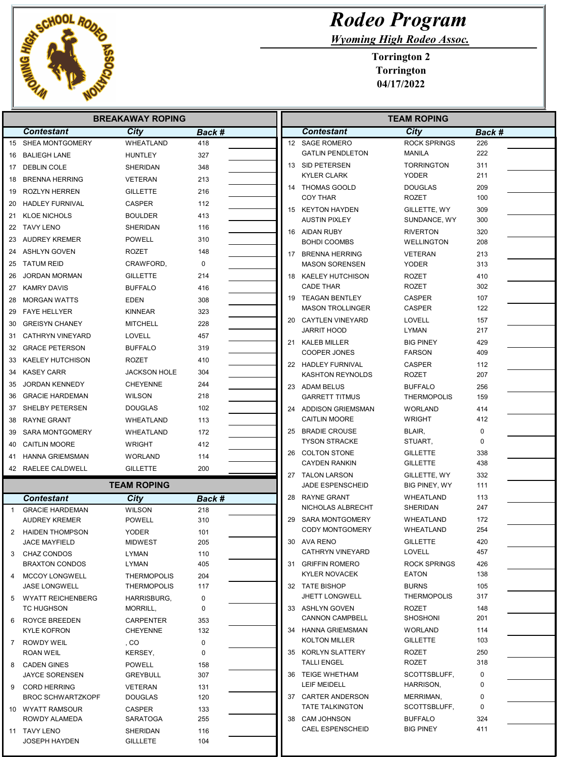

## Rodeo Program

Wyoming High Rodeo Assoc.

Torrington 2 Torrington 04/17/2022

| <b>BREAKAWAY ROPING</b> |                                     |                              |               | <b>TEAM ROPING</b> |    |                                           |                                      |            |
|-------------------------|-------------------------------------|------------------------------|---------------|--------------------|----|-------------------------------------------|--------------------------------------|------------|
|                         | <b>Contestant</b>                   | City                         | <b>Back #</b> |                    |    | <b>Contestant</b>                         | City                                 | Back #     |
|                         | 15 SHEA MONTGOMERY                  | WHEATLAND                    | 418           |                    |    | 12 SAGE ROMERO                            | <b>ROCK SPRINGS</b>                  | 226        |
|                         | 16 BALIEGH LANE                     | <b>HUNTLEY</b>               | 327           |                    |    | <b>GATLIN PENDLETON</b>                   | <b>MANILA</b>                        | 222        |
|                         | 17 DEBLIN COLE                      | SHERIDAN                     | 348           |                    |    | 13 SID PETERSEN                           | <b>TORRINGTON</b>                    | 311        |
| 18                      | <b>BRENNA HERRING</b>               | <b>VETERAN</b>               | 213           |                    |    | <b>KYLER CLARK</b>                        | <b>YODER</b>                         | 211        |
| 19                      | ROZLYN HERREN                       | GILLETTE                     | 216           |                    |    | 14 THOMAS GOOLD                           | <b>DOUGLAS</b>                       | 209        |
| 20                      | HADLEY FURNIVAL                     | <b>CASPER</b>                | 112           |                    |    | <b>COY THAR</b>                           | <b>ROZET</b>                         | 100        |
| 21                      | <b>KLOE NICHOLS</b>                 | <b>BOULDER</b>               | 413           |                    |    | 15 KEYTON HAYDEN<br><b>AUSTIN PIXLEY</b>  | GILLETTE, WY<br>SUNDANCE, WY         | 309<br>300 |
|                         | 22 TAVY LENO                        | SHERIDAN                     | 116           |                    |    | 16 AIDAN RUBY                             | <b>RIVERTON</b>                      | 320        |
| 23                      | AUDREY KREMER                       | <b>POWELL</b>                | 310           |                    |    | <b>BOHDI COOMBS</b>                       | <b>WELLINGTON</b>                    | 208        |
|                         | 24 ASHLYN GOVEN                     | ROZET                        | 148           |                    |    | 17 BRENNA HERRING                         | <b>VETERAN</b>                       | 213        |
|                         | 25 TATUM REID                       | CRAWFORD,                    | 0             |                    |    | <b>MASON SORENSEN</b>                     | <b>YODER</b>                         | 313        |
| 26                      | <b>JORDAN MORMAN</b>                | <b>GILLETTE</b>              | 214           |                    |    | 18 KAELEY HUTCHISON                       | <b>ROZET</b>                         | 410        |
|                         | 27 KAMRY DAVIS                      | <b>BUFFALO</b>               | 416           |                    |    | <b>CADE THAR</b>                          | <b>ROZET</b>                         | 302        |
| 28                      | <b>MORGAN WATTS</b>                 | <b>EDEN</b>                  | 308           |                    |    | 19 TEAGAN BENTLEY                         | <b>CASPER</b>                        | 107        |
| 29                      | <b>FAYE HELLYER</b>                 | KINNEAR                      | 323           |                    |    | <b>MASON TROLLINGER</b>                   | <b>CASPER</b>                        | 122        |
| 30                      | <b>GREISYN CHANEY</b>               | <b>MITCHELL</b>              | 228           |                    |    | 20 CAYTLEN VINEYARD                       | <b>LOVELL</b>                        | 157        |
| 31                      | <b>CATHRYN VINEYARD</b>             | <b>LOVELL</b>                | 457           |                    |    | <b>JARRIT HOOD</b>                        | <b>LYMAN</b>                         | 217        |
|                         | 32 GRACE PETERSON                   | <b>BUFFALO</b>               | 319           |                    |    | 21 KALEB MILLER<br>COOPER JONES           | <b>BIG PINEY</b><br><b>FARSON</b>    | 429<br>409 |
| 33                      | KAELEY HUTCHISON                    | <b>ROZET</b>                 | 410           |                    |    | 22 HADLEY FURNIVAL                        | <b>CASPER</b>                        | 112        |
|                         | 34 KASEY CARR                       | JACKSON HOLE                 | 304           |                    |    | <b>KASHTON REYNOLDS</b>                   | <b>ROZET</b>                         | 207        |
| 35                      | JORDAN KENNEDY                      | <b>CHEYENNE</b>              | 244           |                    |    | 23 ADAM BELUS                             | <b>BUFFALO</b>                       | 256        |
| 36                      | <b>GRACIE HARDEMAN</b>              | <b>WILSON</b>                | 218           |                    |    | <b>GARRETT TITMUS</b>                     | <b>THERMOPOLIS</b>                   | 159        |
|                         | 37 SHELBY PETERSEN                  | DOUGLAS                      | 102           |                    |    | 24 ADDISON GRIEMSMAN                      | <b>WORLAND</b>                       | 414        |
| 38                      | <b>RAYNE GRANT</b>                  | WHEATLAND                    | 113           |                    |    | <b>CAITLIN MOORE</b>                      | <b>WRIGHT</b>                        | 412        |
| 39                      | <b>SARA MONTGOMERY</b>              | WHEATLAND                    | 172           |                    | 25 | <b>BRADIE CROUSE</b>                      | BLAIR,                               | 0          |
| 40                      | <b>CAITLIN MOORE</b>                | <b>WRIGHT</b>                | 412           |                    |    | <b>TYSON STRACKE</b>                      | STUART,                              | $\Omega$   |
| 41                      | <b>HANNA GRIEMSMAN</b>              | <b>WORLAND</b>               | 114           |                    |    | 26 COLTON STONE                           | <b>GILLETTE</b>                      | 338        |
|                         | 42 RAELEE CALDWELL                  | <b>GILLETTE</b>              | 200           |                    |    | <b>CAYDEN RANKIN</b>                      | <b>GILLETTE</b>                      | 438        |
|                         |                                     | <b>TEAM ROPING</b>           |               |                    |    | 27 TALON LARSON<br>JADE ESPENSCHEID       | GILLETTE, WY<br><b>BIG PINEY, WY</b> | 332<br>111 |
|                         | <b>Contestant</b>                   | City                         |               |                    |    | 28 RAYNE GRANT                            | <b>WHEATLAND</b>                     | 113        |
| $\overline{1}$          | <b>GRACIE HARDEMAN</b>              | <b>WILSON</b>                | Back #<br>218 |                    |    | NICHOLAS ALBRECHT                         | SHERIDAN                             | 247        |
|                         | <b>AUDREY KREMER</b>                | POWELL                       | 310           |                    |    | 29 SARA MONTGOMERY                        | WHEATLAND                            | 172        |
| $\mathbf{2}^{\circ}$    | HAIDEN THOMPSON                     | <b>YODER</b>                 | 101           |                    |    | <b>CODY MONTGOMERY</b>                    | WHEATLAND                            | 254        |
|                         | JACE MAYFIELD                       | <b>MIDWEST</b>               | 205           |                    |    | 30 AVA RENO                               | <b>GILLETTE</b>                      | 420        |
| 3                       | <b>CHAZ CONDOS</b>                  | <b>LYMAN</b>                 | 110           |                    |    | CATHRYN VINEYARD                          | LOVELL                               | 457        |
|                         | <b>BRAXTON CONDOS</b>               | <b>LYMAN</b>                 | 405           |                    |    | 31 GRIFFIN ROMERO                         | <b>ROCK SPRINGS</b>                  | 426        |
| 4                       | <b>MCCOY LONGWELL</b>               | <b>THERMOPOLIS</b>           | 204           |                    |    | <b>KYLER NOVACEK</b>                      | <b>EATON</b>                         | 138        |
|                         | <b>JASE LONGWELL</b>                | <b>THERMOPOLIS</b>           | 117           |                    |    | 32 TATE BISHOP                            | <b>BURNS</b>                         | 105        |
| 5                       | <b>WYATT REICHENBERG</b>            | HARRISBURG,                  | 0             |                    |    | <b>JHETT LONGWELL</b>                     | <b>THERMOPOLIS</b>                   | 317        |
|                         | <b>TC HUGHSON</b>                   | MORRILL,                     | $\mathbf 0$   |                    |    | 33 ASHLYN GOVEN<br><b>CANNON CAMPBELL</b> | <b>ROZET</b><br><b>SHOSHONI</b>      | 148<br>201 |
| 6                       | ROYCE BREEDEN<br><b>KYLE KOFRON</b> | CARPENTER<br><b>CHEYENNE</b> | 353<br>132    |                    |    | 34 HANNA GRIEMSMAN                        | <b>WORLAND</b>                       | 114        |
| 7                       | ROWDY WEIL                          | , CO                         | 0             |                    |    | <b>KOLTON MILLER</b>                      | <b>GILLETTE</b>                      | 103        |
|                         | ROAN WEIL                           | KERSEY,                      | $\mathbf 0$   |                    |    | 35 KORLYN SLATTERY                        | ROZET                                | 250        |
| 8                       | <b>CADEN GINES</b>                  | POWELL                       | 158           |                    |    | <b>TALLI ENGEL</b>                        | <b>ROZET</b>                         | 318        |
|                         | <b>JAYCE SORENSEN</b>               | GREYBULL                     | 307           |                    |    | 36 TEIGE WHETHAM                          | SCOTTSBLUFF,                         | 0          |
| 9                       | <b>CORD HERRING</b>                 | <b>VETERAN</b>               | 131           |                    |    | LEIF MEIDELL                              | HARRISON,                            | 0          |
|                         | <b>BROC SCHWARTZKOPF</b>            | <b>DOUGLAS</b>               | 120           |                    |    | 37 CARTER ANDERSON                        | MERRIMAN,                            | 0          |
|                         | 10 WYATT RAMSOUR                    | CASPER                       | 133           |                    |    | <b>TATE TALKINGTON</b>                    | SCOTTSBLUFF,                         | 0          |
|                         | ROWDY ALAMEDA                       | SARATOGA                     | 255           |                    |    | 38 CAM JOHNSON                            | <b>BUFFALO</b>                       | 324        |
|                         | 11 TAVY LENO                        | <b>SHERIDAN</b>              | 116           |                    |    | <b>CAEL ESPENSCHEID</b>                   | <b>BIG PINEY</b>                     | 411        |
|                         | <b>JOSEPH HAYDEN</b>                | GILLLETE                     | 104           |                    |    |                                           |                                      |            |